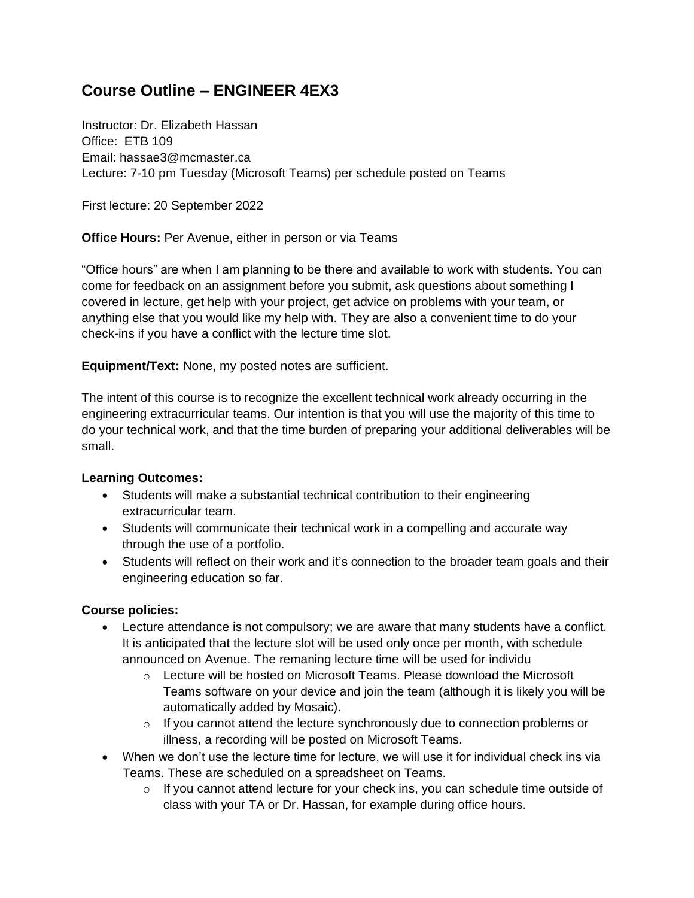# **Course Outline – ENGINEER 4EX3**

Instructor: Dr. Elizabeth Hassan Office: FTB 109 Email: hassae3@mcmaster.ca Lecture: 7-10 pm Tuesday (Microsoft Teams) per schedule posted on Teams

First lecture: 20 September 2022

**Office Hours:** Per Avenue, either in person or via Teams

"Office hours" are when I am planning to be there and available to work with students. You can come for feedback on an assignment before you submit, ask questions about something I covered in lecture, get help with your project, get advice on problems with your team, or anything else that you would like my help with. They are also a convenient time to do your check-ins if you have a conflict with the lecture time slot.

**Equipment/Text:** None, my posted notes are sufficient.

The intent of this course is to recognize the excellent technical work already occurring in the engineering extracurricular teams. Our intention is that you will use the majority of this time to do your technical work, and that the time burden of preparing your additional deliverables will be small.

## **Learning Outcomes:**

- Students will make a substantial technical contribution to their engineering extracurricular team.
- Students will communicate their technical work in a compelling and accurate way through the use of a portfolio.
- Students will reflect on their work and it's connection to the broader team goals and their engineering education so far.

# **Course policies:**

- Lecture attendance is not compulsory; we are aware that many students have a conflict. It is anticipated that the lecture slot will be used only once per month, with schedule announced on Avenue. The remaning lecture time will be used for individu
	- $\circ$  Lecture will be hosted on Microsoft Teams. Please download the Microsoft Teams software on your device and join the team (although it is likely you will be automatically added by Mosaic).
	- o If you cannot attend the lecture synchronously due to connection problems or illness, a recording will be posted on Microsoft Teams.
- When we don't use the lecture time for lecture, we will use it for individual check ins via Teams. These are scheduled on a spreadsheet on Teams.
	- $\circ$  If you cannot attend lecture for your check ins, you can schedule time outside of class with your TA or Dr. Hassan, for example during office hours.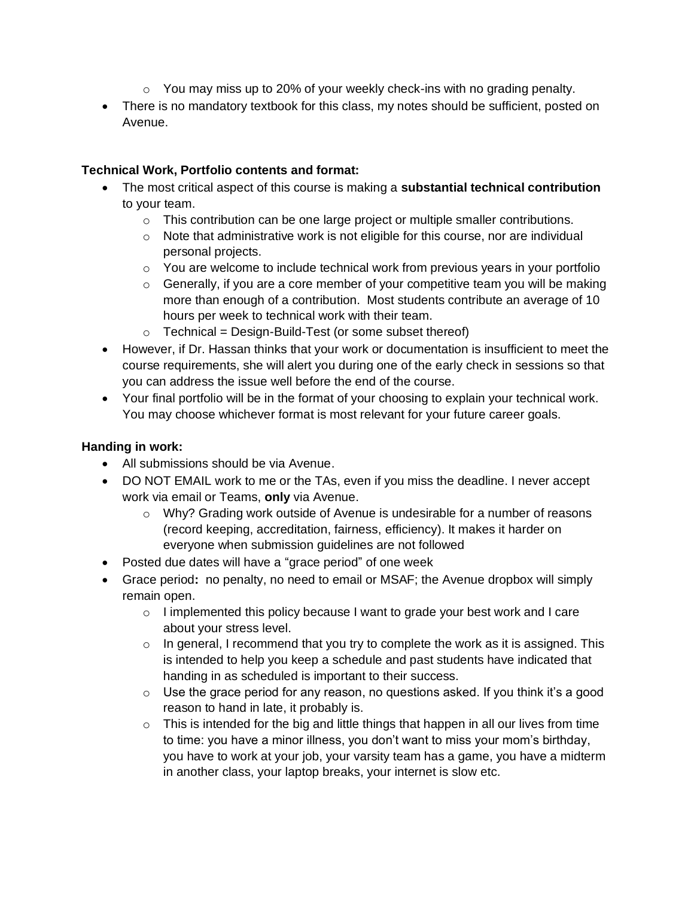- $\circ$  You may miss up to 20% of your weekly check-ins with no grading penalty.
- There is no mandatory textbook for this class, my notes should be sufficient, posted on Avenue.

## **Technical Work, Portfolio contents and format:**

- The most critical aspect of this course is making a **substantial technical contribution**  to your team.
	- $\circ$  This contribution can be one large project or multiple smaller contributions.
	- $\circ$  Note that administrative work is not eligible for this course, nor are individual personal projects.
	- o You are welcome to include technical work from previous years in your portfolio
	- $\circ$  Generally, if you are a core member of your competitive team you will be making more than enough of a contribution. Most students contribute an average of 10 hours per week to technical work with their team.
	- $\circ$  Technical = Design-Build-Test (or some subset thereof)
- However, if Dr. Hassan thinks that your work or documentation is insufficient to meet the course requirements, she will alert you during one of the early check in sessions so that you can address the issue well before the end of the course.
- Your final portfolio will be in the format of your choosing to explain your technical work. You may choose whichever format is most relevant for your future career goals.

## **Handing in work:**

- All submissions should be via Avenue.
- DO NOT EMAIL work to me or the TAs, even if you miss the deadline. I never accept work via email or Teams, **only** via Avenue.
	- o Why? Grading work outside of Avenue is undesirable for a number of reasons (record keeping, accreditation, fairness, efficiency). It makes it harder on everyone when submission guidelines are not followed
- Posted due dates will have a "grace period" of one week
- Grace period**:** no penalty, no need to email or MSAF; the Avenue dropbox will simply remain open.
	- $\circ$  I implemented this policy because I want to grade your best work and I care about your stress level.
	- $\circ$  In general, I recommend that you try to complete the work as it is assigned. This is intended to help you keep a schedule and past students have indicated that handing in as scheduled is important to their success.
	- $\circ$  Use the grace period for any reason, no questions asked. If you think it's a good reason to hand in late, it probably is.
	- $\circ$  This is intended for the big and little things that happen in all our lives from time to time: you have a minor illness, you don't want to miss your mom's birthday, you have to work at your job, your varsity team has a game, you have a midterm in another class, your laptop breaks, your internet is slow etc.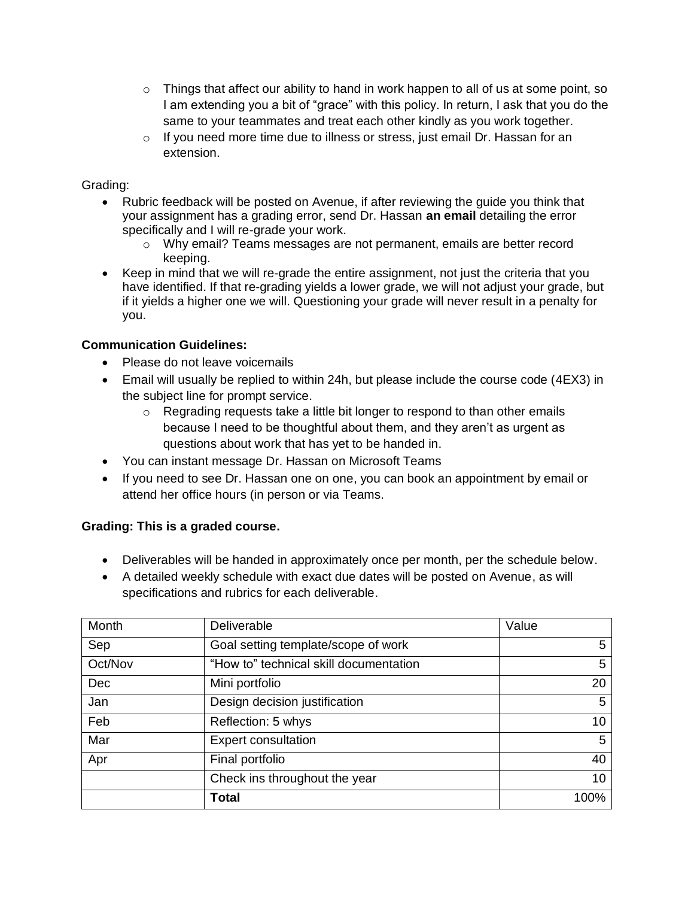- $\circ$  Things that affect our ability to hand in work happen to all of us at some point, so I am extending you a bit of "grace" with this policy. In return, I ask that you do the same to your teammates and treat each other kindly as you work together.
- $\circ$  If you need more time due to illness or stress, just email Dr. Hassan for an extension.

## Grading:

- Rubric feedback will be posted on Avenue, if after reviewing the guide you think that your assignment has a grading error, send Dr. Hassan **an email** detailing the error specifically and I will re-grade your work.
	- o Why email? Teams messages are not permanent, emails are better record keeping.
- Keep in mind that we will re-grade the entire assignment, not just the criteria that you have identified. If that re-grading yields a lower grade, we will not adjust your grade, but if it yields a higher one we will. Questioning your grade will never result in a penalty for you.

## **Communication Guidelines:**

- Please do not leave voicemails
- Email will usually be replied to within 24h, but please include the course code (4EX3) in the subject line for prompt service.
	- o Regrading requests take a little bit longer to respond to than other emails because I need to be thoughtful about them, and they aren't as urgent as questions about work that has yet to be handed in.
- You can instant message Dr. Hassan on Microsoft Teams
- If you need to see Dr. Hassan one on one, you can book an appointment by email or attend her office hours (in person or via Teams.

# **Grading: This is a graded course.**

- Deliverables will be handed in approximately once per month, per the schedule below.
- A detailed weekly schedule with exact due dates will be posted on Avenue, as will specifications and rubrics for each deliverable.

| Month   | Deliverable                            | Value |
|---------|----------------------------------------|-------|
| Sep     | Goal setting template/scope of work    | 5     |
| Oct/Nov | "How to" technical skill documentation | 5     |
| Dec     | Mini portfolio                         | 20    |
| Jan     | Design decision justification          | 5     |
| Feb     | Reflection: 5 whys                     | 10    |
| Mar     | <b>Expert consultation</b>             | 5     |
| Apr     | Final portfolio                        | 40    |
|         | Check ins throughout the year          | 10    |
|         | <b>Total</b>                           | 100%  |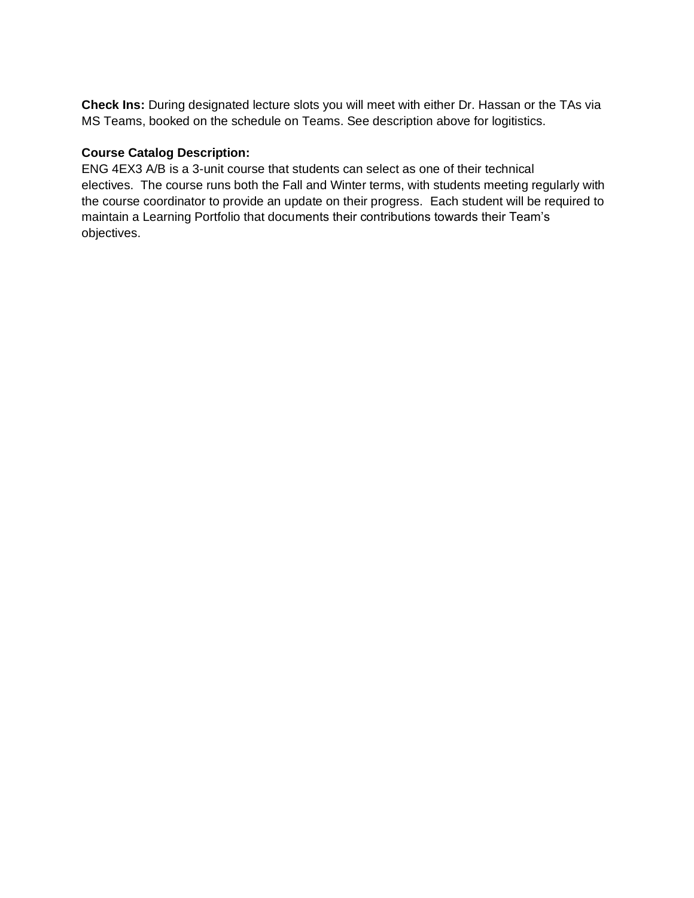**Check Ins:** During designated lecture slots you will meet with either Dr. Hassan or the TAs via MS Teams, booked on the schedule on Teams. See description above for logitistics.

## **Course Catalog Description:**

ENG 4EX3 A/B is a 3-unit course that students can select as one of their technical electives. The course runs both the Fall and Winter terms, with students meeting regularly with the course coordinator to provide an update on their progress. Each student will be required to maintain a Learning Portfolio that documents their contributions towards their Team's objectives.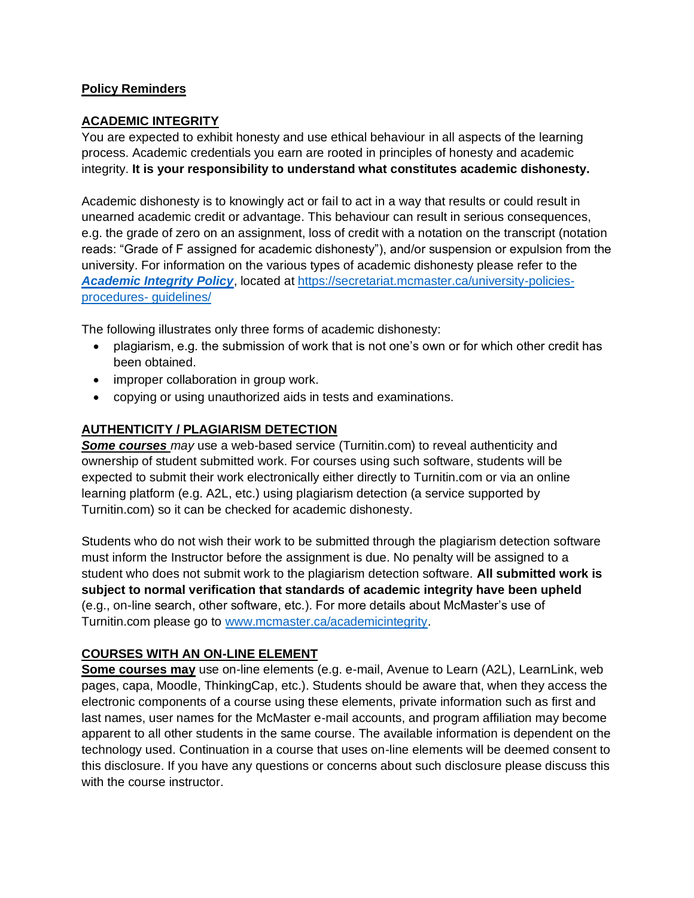## **Policy Reminders**

## **ACADEMIC INTEGRITY**

You are expected to exhibit honesty and use ethical behaviour in all aspects of the learning process. Academic credentials you earn are rooted in principles of honesty and academic integrity. **It is your responsibility to understand what constitutes academic dishonesty.**

Academic dishonesty is to knowingly act or fail to act in a way that results or could result in unearned academic credit or advantage. This behaviour can result in serious consequences, e.g. the grade of zero on an assignment, loss of credit with a notation on the transcript (notation reads: "Grade of F assigned for academic dishonesty"), and/or suspension or expulsion from the university. For information on the various types of academic dishonesty please refer to the *[Academic Integrity Policy](https://secretariat.mcmaster.ca/app/uploads/Academic-Integrity-Policy-1-1.pdf)*, located a[t https://secretariat.mcmaster.ca/university-policies](https://secretariat.mcmaster.ca/university-policies-procedures-%20guidelines/)[procedures-](https://secretariat.mcmaster.ca/university-policies-procedures-%20guidelines/) guidelines/

The following illustrates only three forms of academic dishonesty:

- plagiarism, e.g. the submission of work that is not one's own or for which other credit has been obtained.
- improper collaboration in group work.
- copying or using unauthorized aids in tests and examinations.

## **AUTHENTICITY / PLAGIARISM DETECTION**

*Some courses may* use a web-based service (Turnitin.com) to reveal authenticity and ownership of student submitted work. For courses using such software, students will be expected to submit their work electronically either directly to Turnitin.com or via an online learning platform (e.g. A2L, etc.) using plagiarism detection (a service supported by Turnitin.com) so it can be checked for academic dishonesty.

Students who do not wish their work to be submitted through the plagiarism detection software must inform the Instructor before the assignment is due. No penalty will be assigned to a student who does not submit work to the plagiarism detection software. **All submitted work is subject to normal verification that standards of academic integrity have been upheld** (e.g., on-line search, other software, etc.). For more details about McMaster's use of Turnitin.com please go to [www.mcmaster.ca/academicintegrity.](http://www.mcmaster.ca/academicintegrity)

## **COURSES WITH AN ON-LINE ELEMENT**

**Some courses may** use on-line elements (e.g. e-mail, Avenue to Learn (A2L), LearnLink, web pages, capa, Moodle, ThinkingCap, etc.). Students should be aware that, when they access the electronic components of a course using these elements, private information such as first and last names, user names for the McMaster e-mail accounts, and program affiliation may become apparent to all other students in the same course. The available information is dependent on the technology used. Continuation in a course that uses on-line elements will be deemed consent to this disclosure. If you have any questions or concerns about such disclosure please discuss this with the course instructor.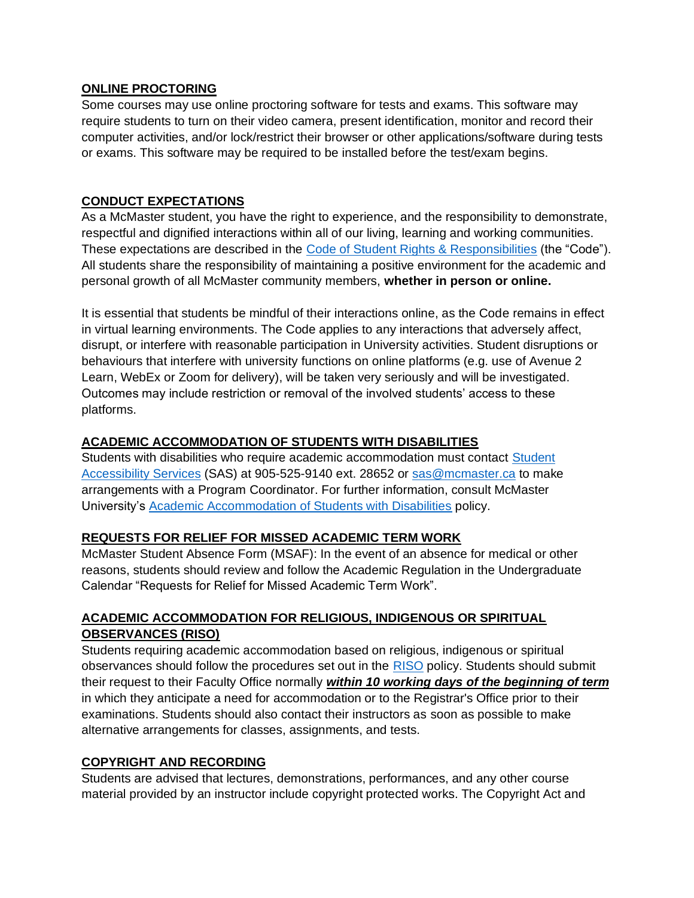## **ONLINE PROCTORING**

Some courses may use online proctoring software for tests and exams. This software may require students to turn on their video camera, present identification, monitor and record their computer activities, and/or lock/restrict their browser or other applications/software during tests or exams. This software may be required to be installed before the test/exam begins.

## **CONDUCT EXPECTATIONS**

As a McMaster student, you have the right to experience, and the responsibility to demonstrate, respectful and dignified interactions within all of our living, learning and working communities. These expectations are described in the [Code of Student Rights & Responsibilities](https://secretariat.mcmaster.ca/app/uploads/Code-of-Student-Rights-and-Responsibilities.pdf) (the "Code"). All students share the responsibility of maintaining a positive environment for the academic and personal growth of all McMaster community members, **whether in person or online.**

It is essential that students be mindful of their interactions online, as the Code remains in effect in virtual learning environments. The Code applies to any interactions that adversely affect, disrupt, or interfere with reasonable participation in University activities. Student disruptions or behaviours that interfere with university functions on online platforms (e.g. use of Avenue 2 Learn, WebEx or Zoom for delivery), will be taken very seriously and will be investigated. Outcomes may include restriction or removal of the involved students' access to these platforms.

## **ACADEMIC ACCOMMODATION OF STUDENTS WITH DISABILITIES**

Students with disabilities who require academic accommodation must contact [Student](https://sas.mcmaster.ca/)  [Accessibility Services](https://sas.mcmaster.ca/) (SAS) at 905-525-9140 ext. 28652 or [sas@mcmaster.ca](mailto:sas@mcmaster.ca) to make arrangements with a Program Coordinator. For further information, consult McMaster University's [Academic Accommodation of Students with Disabilities](https://secretariat.mcmaster.ca/app/uploads/Academic-Accommodations-Policy.pdf) policy.

## **REQUESTS FOR RELIEF FOR MISSED ACADEMIC TERM WORK**

McMaster Student Absence Form (MSAF): In the event of an absence for medical or other reasons, students should review and follow the Academic Regulation in the Undergraduate Calendar "Requests for Relief for Missed Academic Term Work".

# **ACADEMIC ACCOMMODATION FOR RELIGIOUS, INDIGENOUS OR SPIRITUAL OBSERVANCES (RISO)**

Students requiring academic accommodation based on religious, indigenous or spiritual observances should follow the procedures set out in the [RISO](https://secretariat.mcmaster.ca/app/uploads/2019/02/Academic-Accommodation-for-Religious-Indigenous-and-Spiritual-Observances-Policy-on.pdf) policy. Students should submit their request to their Faculty Office normally *within 10 working days of the beginning of term* in which they anticipate a need for accommodation or to the Registrar's Office prior to their examinations. Students should also contact their instructors as soon as possible to make alternative arrangements for classes, assignments, and tests.

## **COPYRIGHT AND RECORDING**

Students are advised that lectures, demonstrations, performances, and any other course material provided by an instructor include copyright protected works. The Copyright Act and